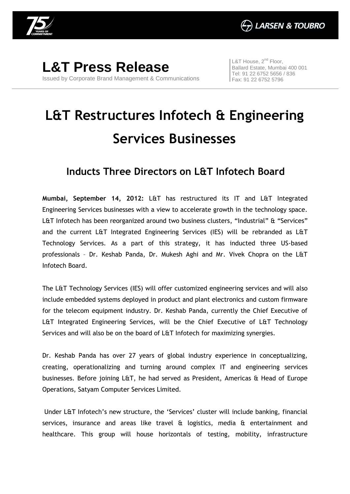

**L&T Press Release** Issued by Corporate Brand Management & Communications L&T House, 2<sup>nd</sup> Floor, Ballard Estate, Mumbai 400 001 Tel: 91 22 6752 5656 / 836 Fax: 91 22 6752 5796

## **L&T Restructures Infotech & Engineering Services Businesses**

## **Inducts Three Directors on L&T Infotech Board**

**Mumbai, September 14, 2012:** L&T has restructured its IT and L&T Integrated Engineering Services businesses with a view to accelerate growth in the technology space. L&T Infotech has been reorganized around two business clusters, "Industrial" & "Services" and the current L&T Integrated Engineering Services (IES) will be rebranded as L&T Technology Services. As a part of this strategy, it has inducted three US-based professionals – Dr. Keshab Panda, Dr. Mukesh Aghi and Mr. Vivek Chopra on the L&T Infotech Board.

The L&T Technology Services (IES) will offer customized engineering services and will also include embedded systems deployed in product and plant electronics and custom firmware for the telecom equipment industry. Dr. Keshab Panda, currently the Chief Executive of L&T Integrated Engineering Services, will be the Chief Executive of L&T Technology Services and will also be on the board of L&T Infotech for maximizing synergies.

Dr. Keshab Panda has over 27 years of global industry experience in conceptualizing, creating, operationalizing and turning around complex IT and engineering services businesses. Before joining L&T, he had served as President, Americas & Head of Europe Operations, Satyam Computer Services Limited.

Under L&T Infotech's new structure, the 'Services' cluster will include banking, financial services, insurance and areas like travel  $\theta$  logistics, media  $\theta$  entertainment and healthcare. This group will house horizontals of testing, mobility, infrastructure